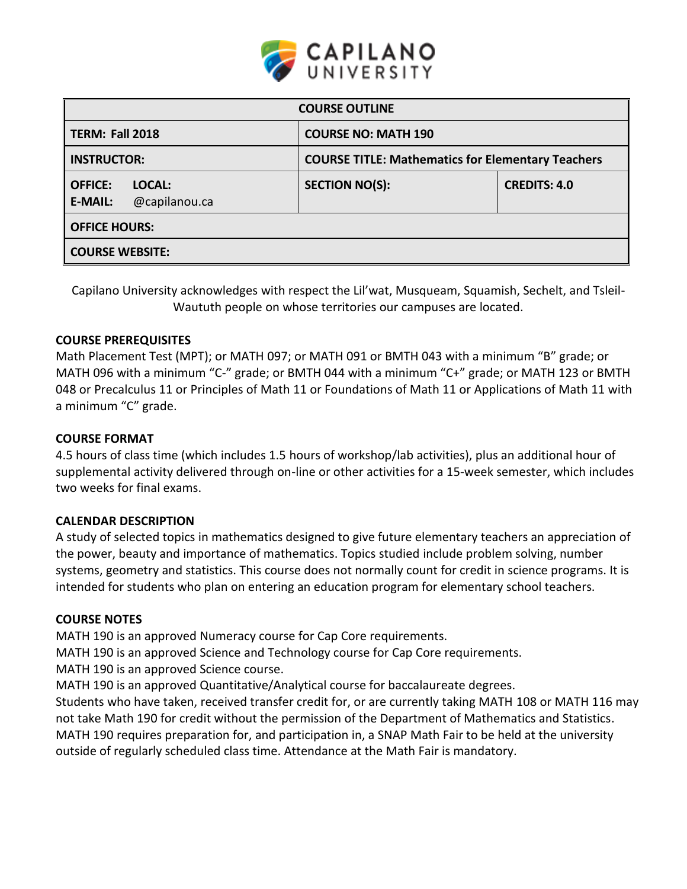

| <b>COURSE OUTLINE</b>                                       |                                                          |                     |  |
|-------------------------------------------------------------|----------------------------------------------------------|---------------------|--|
| <b>TERM: Fall 2018</b>                                      | <b>COURSE NO: MATH 190</b>                               |                     |  |
| <b>INSTRUCTOR:</b>                                          | <b>COURSE TITLE: Mathematics for Elementary Teachers</b> |                     |  |
| <b>OFFICE:</b><br>LOCAL:<br>@capilanou.ca<br><b>E-MAIL:</b> | <b>SECTION NO(S):</b>                                    | <b>CREDITS: 4.0</b> |  |
| <b>OFFICE HOURS:</b>                                        |                                                          |                     |  |
| <b>COURSE WEBSITE:</b>                                      |                                                          |                     |  |

Capilano University acknowledges with respect the Lil'wat, Musqueam, Squamish, Sechelt, and Tsleil-Waututh people on whose territories our campuses are located.

## **COURSE PREREQUISITES**

Math Placement Test (MPT); or MATH 097; or MATH 091 or BMTH 043 with a minimum "B" grade; or MATH 096 with a minimum "C-" grade; or BMTH 044 with a minimum "C+" grade; or MATH 123 or BMTH 048 or Precalculus 11 or Principles of Math 11 or Foundations of Math 11 or Applications of Math 11 with a minimum "C" grade.

## **COURSE FORMAT**

4.5 hours of class time (which includes 1.5 hours of workshop/lab activities), plus an additional hour of supplemental activity delivered through on-line or other activities for a 15-week semester, which includes two weeks for final exams.

## **CALENDAR DESCRIPTION**

A study of selected topics in mathematics designed to give future elementary teachers an appreciation of the power, beauty and importance of mathematics. Topics studied include problem solving, number systems, geometry and statistics. This course does not normally count for credit in science programs. It is intended for students who plan on entering an education program for elementary school teachers.

#### **COURSE NOTES**

MATH 190 is an approved Numeracy course for Cap Core requirements.

MATH 190 is an approved Science and Technology course for Cap Core requirements.

MATH 190 is an approved Science course.

MATH 190 is an approved Quantitative/Analytical course for baccalaureate degrees.

Students who have taken, received transfer credit for, or are currently taking MATH 108 or MATH 116 may not take Math 190 for credit without the permission of the Department of Mathematics and Statistics. MATH 190 requires preparation for, and participation in, a SNAP Math Fair to be held at the university outside of regularly scheduled class time. Attendance at the Math Fair is mandatory.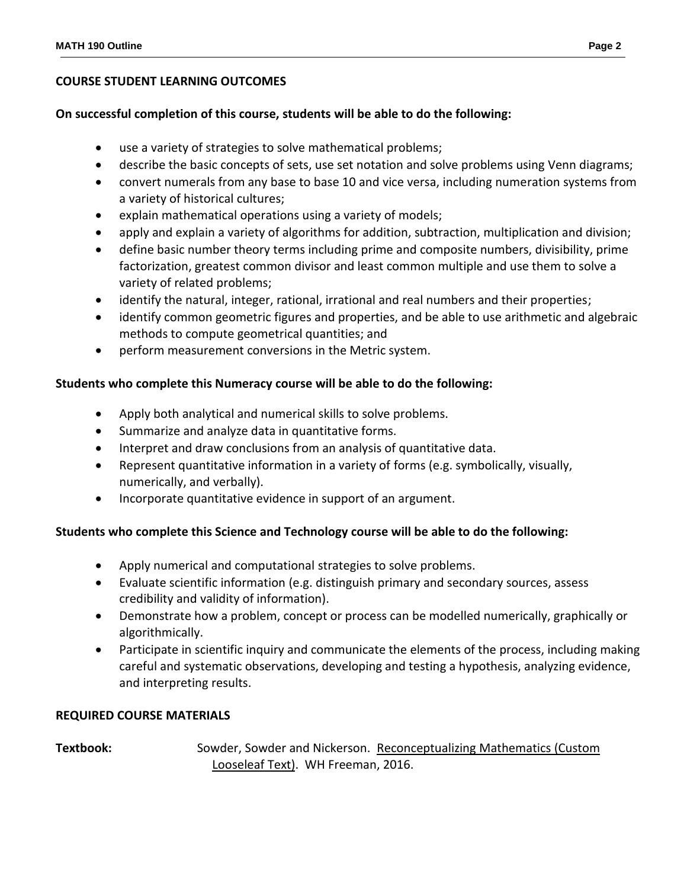## **COURSE STUDENT LEARNING OUTCOMES**

### **On successful completion of this course, students will be able to do the following:**

- use a variety of strategies to solve mathematical problems;
- describe the basic concepts of sets, use set notation and solve problems using Venn diagrams;
- convert numerals from any base to base 10 and vice versa, including numeration systems from a variety of historical cultures;
- explain mathematical operations using a variety of models;
- apply and explain a variety of algorithms for addition, subtraction, multiplication and division;
- define basic number theory terms including prime and composite numbers, divisibility, prime factorization, greatest common divisor and least common multiple and use them to solve a variety of related problems;
- identify the natural, integer, rational, irrational and real numbers and their properties;
- identify common geometric figures and properties, and be able to use arithmetic and algebraic methods to compute geometrical quantities; and
- perform measurement conversions in the Metric system.

## **Students who complete this Numeracy course will be able to do the following:**

- Apply both analytical and numerical skills to solve problems.
- Summarize and analyze data in quantitative forms.
- Interpret and draw conclusions from an analysis of quantitative data.
- Represent quantitative information in a variety of forms (e.g. symbolically, visually, numerically, and verbally).
- Incorporate quantitative evidence in support of an argument.

## **Students who complete this Science and Technology course will be able to do the following:**

- Apply numerical and computational strategies to solve problems.
- Evaluate scientific information (e.g. distinguish primary and secondary sources, assess credibility and validity of information).
- Demonstrate how a problem, concept or process can be modelled numerically, graphically or algorithmically.
- Participate in scientific inquiry and communicate the elements of the process, including making careful and systematic observations, developing and testing a hypothesis, analyzing evidence, and interpreting results.

## **REQUIRED COURSE MATERIALS**

**Textbook:** Sowder, Sowder and Nickerson. Reconceptualizing Mathematics (Custom Looseleaf Text). WH Freeman, 2016.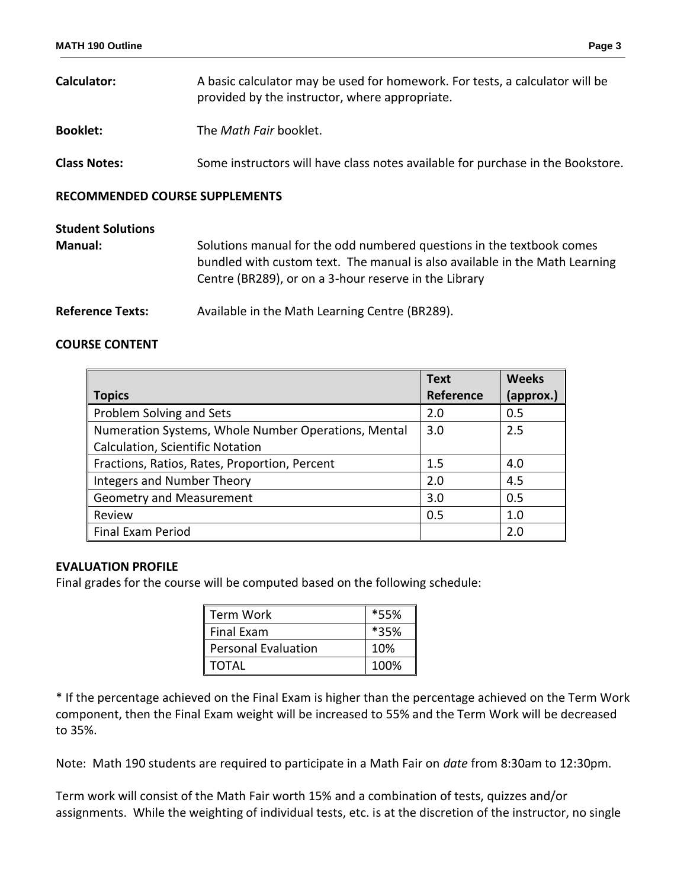| <b>MATH 190 Outline</b> | Page |
|-------------------------|------|
|                         |      |

| <b>Calculator:</b>  | A basic calculator may be used for homework. For tests, a calculator will be<br>provided by the instructor, where appropriate. |  |
|---------------------|--------------------------------------------------------------------------------------------------------------------------------|--|
| <b>Booklet:</b>     | The Math Fair booklet.                                                                                                         |  |
| <b>Class Notes:</b> | Some instructors will have class notes available for purchase in the Bookstore.                                                |  |

### **RECOMMENDED COURSE SUPPLEMENTS**

| <b>Student Solutions</b> |                                                                                                                                                                                                               |
|--------------------------|---------------------------------------------------------------------------------------------------------------------------------------------------------------------------------------------------------------|
| <b>Manual:</b>           | Solutions manual for the odd numbered questions in the textbook comes<br>bundled with custom text. The manual is also available in the Math Learning<br>Centre (BR289), or on a 3-hour reserve in the Library |
| <b>Reference Texts:</b>  | Available in the Math Learning Centre (BR289).                                                                                                                                                                |

## **COURSE CONTENT**

|                                                     | <b>Text</b> | <b>Weeks</b> |
|-----------------------------------------------------|-------------|--------------|
| <b>Topics</b>                                       | Reference   | (approx.)    |
| Problem Solving and Sets                            | 2.0         | 0.5          |
| Numeration Systems, Whole Number Operations, Mental | 3.0         | 2.5          |
| Calculation, Scientific Notation                    |             |              |
| Fractions, Ratios, Rates, Proportion, Percent       | 1.5         | 4.0          |
| Integers and Number Theory                          | 2.0         | 4.5          |
| <b>Geometry and Measurement</b>                     | 3.0         | 0.5          |
| Review                                              | 0.5         | 1.0          |
| <b>Final Exam Period</b>                            |             | 2.0          |

## **EVALUATION PROFILE**

Final grades for the course will be computed based on the following schedule:

| Term Work                  | *55% |  |
|----------------------------|------|--|
| <b>Final Exam</b>          | *35% |  |
| <b>Personal Evaluation</b> | 10%  |  |
| <b>TOTAL</b>               | 100% |  |

\* If the percentage achieved on the Final Exam is higher than the percentage achieved on the Term Work component, then the Final Exam weight will be increased to 55% and the Term Work will be decreased to 35%.

Note: Math 190 students are required to participate in a Math Fair on *date* from 8:30am to 12:30pm.

Term work will consist of the Math Fair worth 15% and a combination of tests, quizzes and/or assignments. While the weighting of individual tests, etc. is at the discretion of the instructor, no single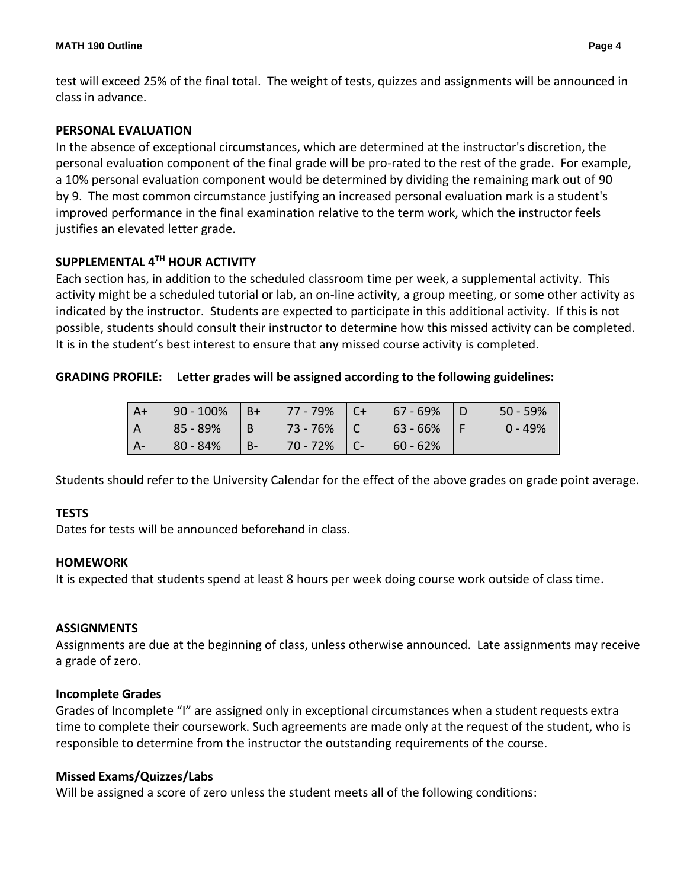test will exceed 25% of the final total. The weight of tests, quizzes and assignments will be announced in class in advance.

## **PERSONAL EVALUATION**

In the absence of exceptional circumstances, which are determined at the instructor's discretion, the personal evaluation component of the final grade will be pro-rated to the rest of the grade. For example, a 10% personal evaluation component would be determined by dividing the remaining mark out of 90 by 9. The most common circumstance justifying an increased personal evaluation mark is a student's improved performance in the final examination relative to the term work, which the instructor feels justifies an elevated letter grade.

### **SUPPLEMENTAL 4TH HOUR ACTIVITY**

Each section has, in addition to the scheduled classroom time per week, a supplemental activity. This activity might be a scheduled tutorial or lab, an on-line activity, a group meeting, or some other activity as indicated by the instructor. Students are expected to participate in this additional activity. If this is not possible, students should consult their instructor to determine how this missed activity can be completed. It is in the student's best interest to ensure that any missed course activity is completed.

### **GRADING PROFILE: Letter grades will be assigned according to the following guidelines:**

| l A+  | $90 - 100\%$ | $ B+$ | 77 - 79%         | $\vert$ C+ | 67 - 69%   | $50 - 59%$ |
|-------|--------------|-------|------------------|------------|------------|------------|
| l A   | $85 - 89%$   | B     | $73 - 76\%$   C  |            | $63 - 66%$ | $0 - 49%$  |
| $A -$ | $80 - 84%$   | $B-$  | $70 - 72\%$   C- |            | $60 - 62%$ |            |

Students should refer to the University Calendar for the effect of the above grades on grade point average.

#### **TESTS**

Dates for tests will be announced beforehand in class.

#### **HOMEWORK**

It is expected that students spend at least 8 hours per week doing course work outside of class time.

#### **ASSIGNMENTS**

Assignments are due at the beginning of class, unless otherwise announced. Late assignments may receive a grade of zero.

#### **Incomplete Grades**

Grades of Incomplete "I" are assigned only in exceptional circumstances when a student requests extra time to complete their coursework. Such agreements are made only at the request of the student, who is responsible to determine from the instructor the outstanding requirements of the course.

#### **Missed Exams/Quizzes/Labs**

Will be assigned a score of zero unless the student meets all of the following conditions: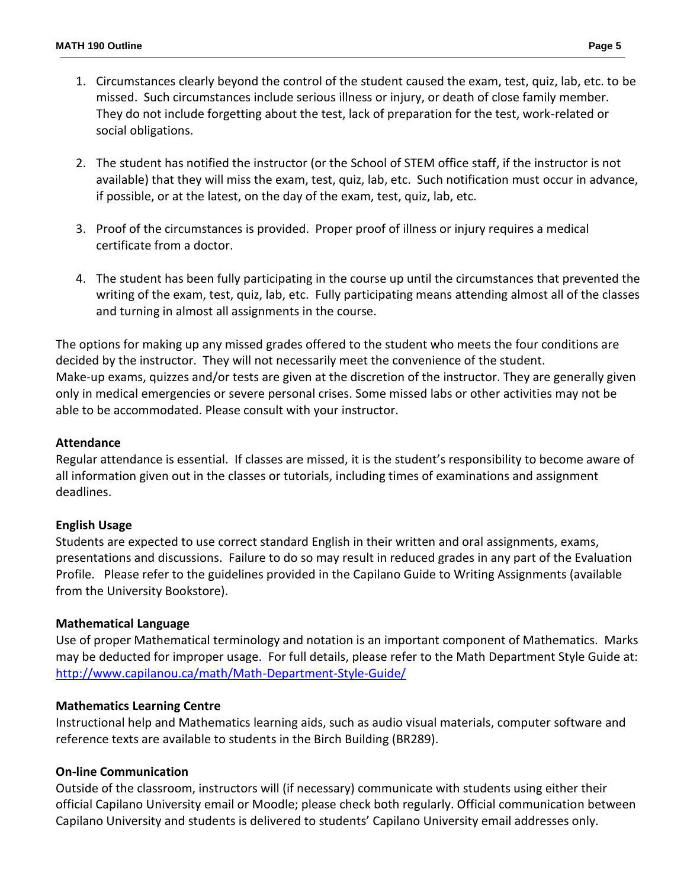- 1. Circumstances clearly beyond the control of the student caused the exam, test, quiz, lab, etc. to be missed. Such circumstances include serious illness or injury, or death of close family member. They do not include forgetting about the test, lack of preparation for the test, work-related or social obligations.
- 2. The student has notified the instructor (or the School of STEM office staff, if the instructor is not available) that they will miss the exam, test, quiz, lab, etc. Such notification must occur in advance, if possible, or at the latest, on the day of the exam, test, quiz, lab, etc.
- 3. Proof of the circumstances is provided. Proper proof of illness or injury requires a medical certificate from a doctor.
- 4. The student has been fully participating in the course up until the circumstances that prevented the writing of the exam, test, quiz, lab, etc. Fully participating means attending almost all of the classes and turning in almost all assignments in the course.

The options for making up any missed grades offered to the student who meets the four conditions are decided by the instructor. They will not necessarily meet the convenience of the student. Make-up exams, quizzes and/or tests are given at the discretion of the instructor. They are generally given only in medical emergencies or severe personal crises. Some missed labs or other activities may not be able to be accommodated. Please consult with your instructor.

## **Attendance**

Regular attendance is essential. If classes are missed, it is the student's responsibility to become aware of all information given out in the classes or tutorials, including times of examinations and assignment deadlines.

## **English Usage**

Students are expected to use correct standard English in their written and oral assignments, exams, presentations and discussions. Failure to do so may result in reduced grades in any part of the Evaluation Profile. Please refer to the guidelines provided in the Capilano Guide to Writing Assignments (available from the University Bookstore).

## **Mathematical Language**

Use of proper Mathematical terminology and notation is an important component of Mathematics. Marks may be deducted for improper usage. For full details, please refer to the Math Department Style Guide at: <http://www.capilanou.ca/math/Math-Department-Style-Guide/>

## **Mathematics Learning Centre**

Instructional help and Mathematics learning aids, such as audio visual materials, computer software and reference texts are available to students in the Birch Building (BR289).

## **On-line Communication**

Outside of the classroom, instructors will (if necessary) communicate with students using either their official Capilano University email or Moodle; please check both regularly. Official communication between Capilano University and students is delivered to students' Capilano University email addresses only.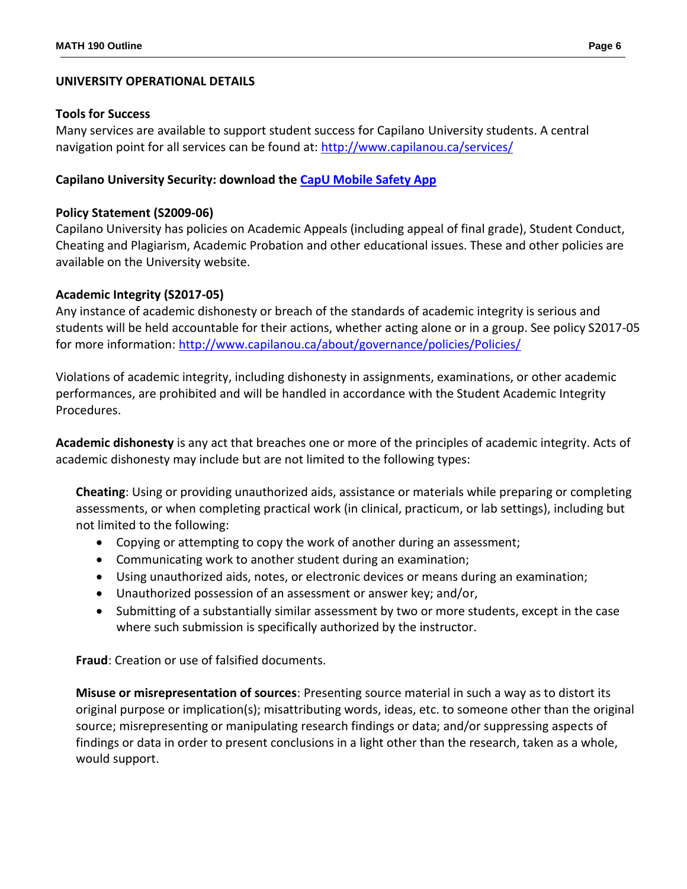## **UNIVERSITY OPERATIONAL DETAILS**

#### **Tools for Success**

Many services are available to support student success for Capilano University students. A central navigation point for all services can be found at:<http://www.capilanou.ca/services/>

## **Capilano University Security: download the [CapU Mobile Safety App](https://www.capilanou.ca/services/safety-security/CapU-Mobile-Safety-App/)**

### **Policy Statement (S2009-06)**

Capilano University has policies on Academic Appeals (including appeal of final grade), Student Conduct, Cheating and Plagiarism, Academic Probation and other educational issues. These and other policies are available on the University website.

### **Academic Integrity (S2017-05)**

Any instance of academic dishonesty or breach of the standards of academic integrity is serious and students will be held accountable for their actions, whether acting alone or in a group. See policy S2017-05 for more information:<http://www.capilanou.ca/about/governance/policies/Policies/>

Violations of academic integrity, including dishonesty in assignments, examinations, or other academic performances, are prohibited and will be handled in accordance with the Student Academic Integrity Procedures.

**Academic dishonesty** is any act that breaches one or more of the principles of academic integrity. Acts of academic dishonesty may include but are not limited to the following types:

**Cheating**: Using or providing unauthorized aids, assistance or materials while preparing or completing assessments, or when completing practical work (in clinical, practicum, or lab settings), including but not limited to the following:

- Copying or attempting to copy the work of another during an assessment;
- Communicating work to another student during an examination;
- Using unauthorized aids, notes, or electronic devices or means during an examination;
- Unauthorized possession of an assessment or answer key; and/or,
- Submitting of a substantially similar assessment by two or more students, except in the case where such submission is specifically authorized by the instructor.

**Fraud**: Creation or use of falsified documents.

**Misuse or misrepresentation of sources**: Presenting source material in such a way as to distort its original purpose or implication(s); misattributing words, ideas, etc. to someone other than the original source; misrepresenting or manipulating research findings or data; and/or suppressing aspects of findings or data in order to present conclusions in a light other than the research, taken as a whole, would support.